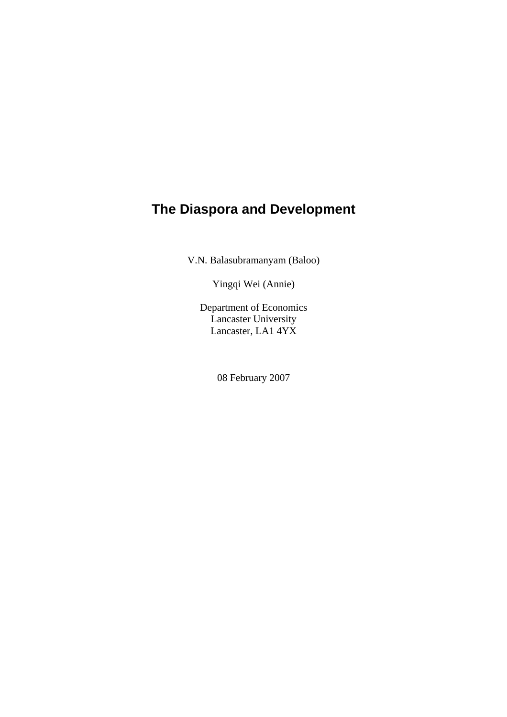# **The Diaspora and Development**

V.N. Balasubramanyam (Baloo)

Yingqi Wei (Annie)

Department of Economics Lancaster University Lancaster, LA1 4YX

08 February 2007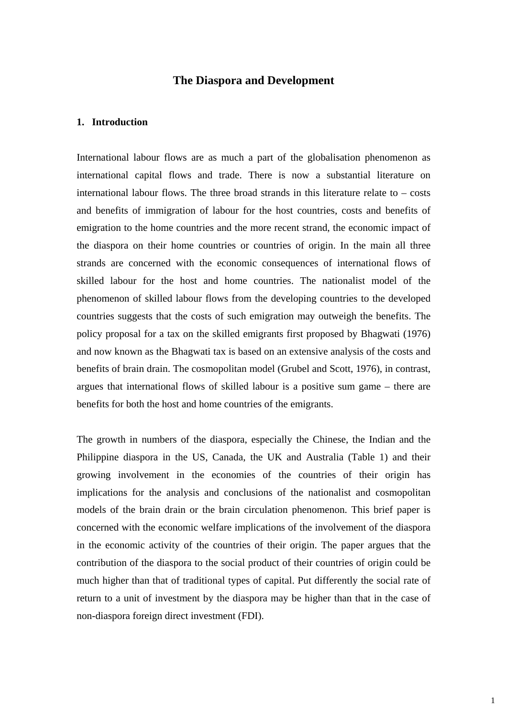# **The Diaspora and Development**

#### **1. Introduction**

International labour flows are as much a part of the globalisation phenomenon as international capital flows and trade. There is now a substantial literature on international labour flows. The three broad strands in this literature relate to  $-\cos t$ and benefits of immigration of labour for the host countries, costs and benefits of emigration to the home countries and the more recent strand, the economic impact of the diaspora on their home countries or countries of origin. In the main all three strands are concerned with the economic consequences of international flows of skilled labour for the host and home countries. The nationalist model of the phenomenon of skilled labour flows from the developing countries to the developed countries suggests that the costs of such emigration may outweigh the benefits. The policy proposal for a tax on the skilled emigrants first proposed by Bhagwati (1976) and now known as the Bhagwati tax is based on an extensive analysis of the costs and benefits of brain drain. The cosmopolitan model (Grubel and Scott, 1976), in contrast, argues that international flows of skilled labour is a positive sum game – there are benefits for both the host and home countries of the emigrants.

The growth in numbers of the diaspora, especially the Chinese, the Indian and the Philippine diaspora in the US, Canada, the UK and Australia (Table 1) and their growing involvement in the economies of the countries of their origin has implications for the analysis and conclusions of the nationalist and cosmopolitan models of the brain drain or the brain circulation phenomenon. This brief paper is concerned with the economic welfare implications of the involvement of the diaspora in the economic activity of the countries of their origin. The paper argues that the contribution of the diaspora to the social product of their countries of origin could be much higher than that of traditional types of capital. Put differently the social rate of return to a unit of investment by the diaspora may be higher than that in the case of non-diaspora foreign direct investment (FDI).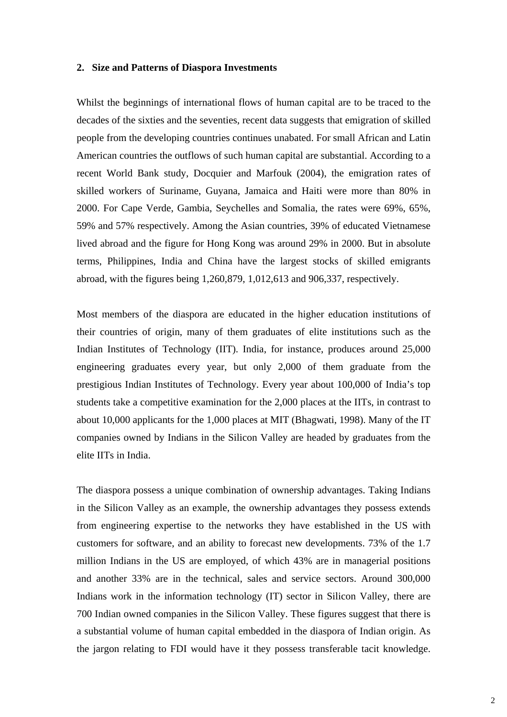#### **2. Size and Patterns of Diaspora Investments**

Whilst the beginnings of international flows of human capital are to be traced to the decades of the sixties and the seventies, recent data suggests that emigration of skilled people from the developing countries continues unabated. For small African and Latin American countries the outflows of such human capital are substantial. According to a recent World Bank study, Docquier and Marfouk (2004), the emigration rates of skilled workers of Suriname, Guyana, Jamaica and Haiti were more than 80% in 2000. For Cape Verde, Gambia, Seychelles and Somalia, the rates were 69%, 65%, 59% and 57% respectively. Among the Asian countries, 39% of educated Vietnamese lived abroad and the figure for Hong Kong was around 29% in 2000. But in absolute terms, Philippines, India and China have the largest stocks of skilled emigrants abroad, with the figures being 1,260,879, 1,012,613 and 906,337, respectively.

Most members of the diaspora are educated in the higher education institutions of their countries of origin, many of them graduates of elite institutions such as the Indian Institutes of Technology (IIT). India, for instance, produces around 25,000 engineering graduates every year, but only 2,000 of them graduate from the prestigious Indian Institutes of Technology. Every year about 100,000 of India's top students take a competitive examination for the 2,000 places at the IITs, in contrast to about 10,000 applicants for the 1,000 places at MIT (Bhagwati, 1998). Many of the IT companies owned by Indians in the Silicon Valley are headed by graduates from the elite IITs in India.

The diaspora possess a unique combination of ownership advantages. Taking Indians in the Silicon Valley as an example, the ownership advantages they possess extends from engineering expertise to the networks they have established in the US with customers for software, and an ability to forecast new developments. 73% of the 1.7 million Indians in the US are employed, of which 43% are in managerial positions and another 33% are in the technical, sales and service sectors. Around 300,000 Indians work in the information technology (IT) sector in Silicon Valley, there are 700 Indian owned companies in the Silicon Valley. These figures suggest that there is a substantial volume of human capital embedded in the diaspora of Indian origin. As the jargon relating to FDI would have it they possess transferable tacit knowledge.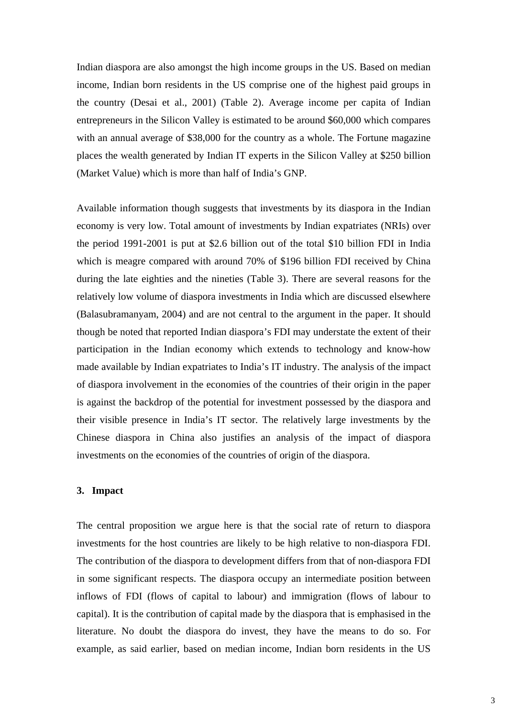Indian diaspora are also amongst the high income groups in the US. Based on median income, Indian born residents in the US comprise one of the highest paid groups in the country (Desai et al., 2001) (Table 2). Average income per capita of Indian entrepreneurs in the Silicon Valley is estimated to be around \$60,000 which compares with an annual average of \$38,000 for the country as a whole. The Fortune magazine places the wealth generated by Indian IT experts in the Silicon Valley at \$250 billion (Market Value) which is more than half of India's GNP.

Available information though suggests that investments by its diaspora in the Indian economy is very low. Total amount of investments by Indian expatriates (NRIs) over the period 1991-2001 is put at \$2.6 billion out of the total \$10 billion FDI in India which is meagre compared with around 70% of \$196 billion FDI received by China during the late eighties and the nineties (Table 3). There are several reasons for the relatively low volume of diaspora investments in India which are discussed elsewhere (Balasubramanyam, 2004) and are not central to the argument in the paper. It should though be noted that reported Indian diaspora's FDI may understate the extent of their participation in the Indian economy which extends to technology and know-how made available by Indian expatriates to India's IT industry. The analysis of the impact of diaspora involvement in the economies of the countries of their origin in the paper is against the backdrop of the potential for investment possessed by the diaspora and their visible presence in India's IT sector. The relatively large investments by the Chinese diaspora in China also justifies an analysis of the impact of diaspora investments on the economies of the countries of origin of the diaspora.

#### **3. Impact**

The central proposition we argue here is that the social rate of return to diaspora investments for the host countries are likely to be high relative to non-diaspora FDI. The contribution of the diaspora to development differs from that of non-diaspora FDI in some significant respects. The diaspora occupy an intermediate position between inflows of FDI (flows of capital to labour) and immigration (flows of labour to capital). It is the contribution of capital made by the diaspora that is emphasised in the literature. No doubt the diaspora do invest, they have the means to do so. For example, as said earlier, based on median income, Indian born residents in the US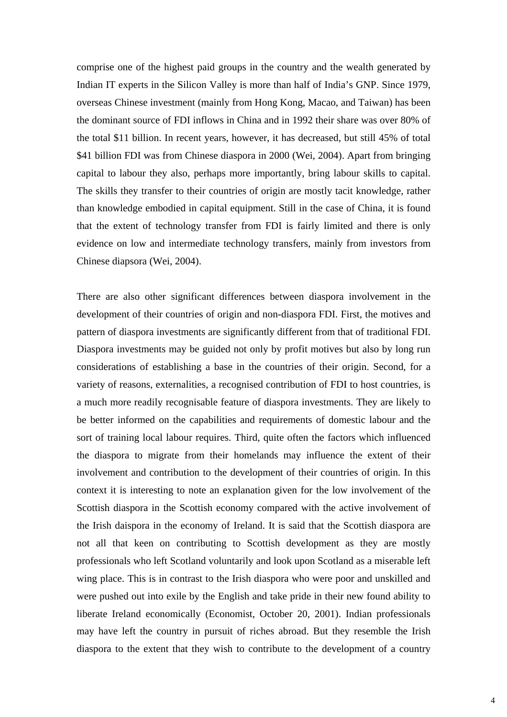comprise one of the highest paid groups in the country and the wealth generated by Indian IT experts in the Silicon Valley is more than half of India's GNP. Since 1979, overseas Chinese investment (mainly from Hong Kong, Macao, and Taiwan) has been the dominant source of FDI inflows in China and in 1992 their share was over 80% of the total \$11 billion. In recent years, however, it has decreased, but still 45% of total \$41 billion FDI was from Chinese diaspora in 2000 (Wei, 2004). Apart from bringing capital to labour they also, perhaps more importantly, bring labour skills to capital. The skills they transfer to their countries of origin are mostly tacit knowledge, rather than knowledge embodied in capital equipment. Still in the case of China, it is found that the extent of technology transfer from FDI is fairly limited and there is only evidence on low and intermediate technology transfers, mainly from investors from Chinese diapsora (Wei, 2004).

There are also other significant differences between diaspora involvement in the development of their countries of origin and non-diaspora FDI. First, the motives and pattern of diaspora investments are significantly different from that of traditional FDI. Diaspora investments may be guided not only by profit motives but also by long run considerations of establishing a base in the countries of their origin. Second, for a variety of reasons, externalities, a recognised contribution of FDI to host countries, is a much more readily recognisable feature of diaspora investments. They are likely to be better informed on the capabilities and requirements of domestic labour and the sort of training local labour requires. Third, quite often the factors which influenced the diaspora to migrate from their homelands may influence the extent of their involvement and contribution to the development of their countries of origin. In this context it is interesting to note an explanation given for the low involvement of the Scottish diaspora in the Scottish economy compared with the active involvement of the Irish daispora in the economy of Ireland. It is said that the Scottish diaspora are not all that keen on contributing to Scottish development as they are mostly professionals who left Scotland voluntarily and look upon Scotland as a miserable left wing place. This is in contrast to the Irish diaspora who were poor and unskilled and were pushed out into exile by the English and take pride in their new found ability to liberate Ireland economically (Economist, October 20, 2001). Indian professionals may have left the country in pursuit of riches abroad. But they resemble the Irish diaspora to the extent that they wish to contribute to the development of a country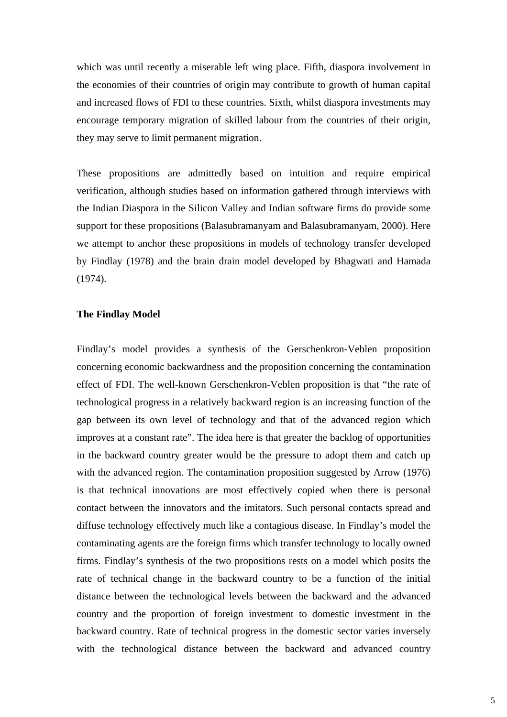which was until recently a miserable left wing place. Fifth, diaspora involvement in the economies of their countries of origin may contribute to growth of human capital and increased flows of FDI to these countries. Sixth, whilst diaspora investments may encourage temporary migration of skilled labour from the countries of their origin, they may serve to limit permanent migration.

These propositions are admittedly based on intuition and require empirical verification, although studies based on information gathered through interviews with the Indian Diaspora in the Silicon Valley and Indian software firms do provide some support for these propositions (Balasubramanyam and Balasubramanyam, 2000). Here we attempt to anchor these propositions in models of technology transfer developed by Findlay (1978) and the brain drain model developed by Bhagwati and Hamada (1974).

#### **The Findlay Model**

Findlay's model provides a synthesis of the Gerschenkron-Veblen proposition concerning economic backwardness and the proposition concerning the contamination effect of FDI. The well-known Gerschenkron-Veblen proposition is that "the rate of technological progress in a relatively backward region is an increasing function of the gap between its own level of technology and that of the advanced region which improves at a constant rate". The idea here is that greater the backlog of opportunities in the backward country greater would be the pressure to adopt them and catch up with the advanced region. The contamination proposition suggested by Arrow (1976) is that technical innovations are most effectively copied when there is personal contact between the innovators and the imitators. Such personal contacts spread and diffuse technology effectively much like a contagious disease. In Findlay's model the contaminating agents are the foreign firms which transfer technology to locally owned firms. Findlay's synthesis of the two propositions rests on a model which posits the rate of technical change in the backward country to be a function of the initial distance between the technological levels between the backward and the advanced country and the proportion of foreign investment to domestic investment in the backward country. Rate of technical progress in the domestic sector varies inversely with the technological distance between the backward and advanced country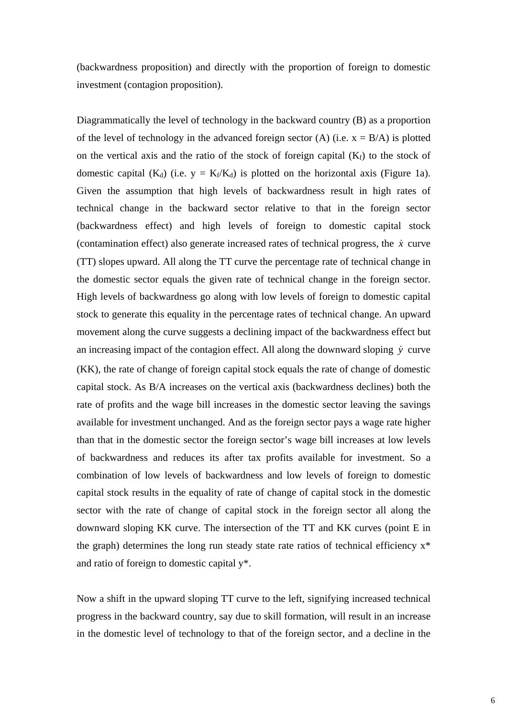(backwardness proposition) and directly with the proportion of foreign to domestic investment (contagion proposition).

Diagrammatically the level of technology in the backward country (B) as a proportion of the level of technology in the advanced foreign sector (A) (i.e.  $x = B/A$ ) is plotted on the vertical axis and the ratio of the stock of foreign capital  $(K_f)$  to the stock of domestic capital (K<sub>d</sub>) (i.e.  $y = K_f/K_d$ ) is plotted on the horizontal axis (Figure 1a). Given the assumption that high levels of backwardness result in high rates of technical change in the backward sector relative to that in the foreign sector (backwardness effect) and high levels of foreign to domestic capital stock (contamination effect) also generate increased rates of technical progress, the  $\dot{x}$  curve (TT) slopes upward. All along the TT curve the percentage rate of technical change in the domestic sector equals the given rate of technical change in the foreign sector. High levels of backwardness go along with low levels of foreign to domestic capital stock to generate this equality in the percentage rates of technical change. An upward movement along the curve suggests a declining impact of the backwardness effect but an increasing impact of the contagion effect. All along the downward sloping  $\dot{y}$  curve (KK), the rate of change of foreign capital stock equals the rate of change of domestic capital stock. As B/A increases on the vertical axis (backwardness declines) both the rate of profits and the wage bill increases in the domestic sector leaving the savings available for investment unchanged. And as the foreign sector pays a wage rate higher than that in the domestic sector the foreign sector's wage bill increases at low levels of backwardness and reduces its after tax profits available for investment. So a combination of low levels of backwardness and low levels of foreign to domestic capital stock results in the equality of rate of change of capital stock in the domestic sector with the rate of change of capital stock in the foreign sector all along the downward sloping KK curve. The intersection of the TT and KK curves (point E in the graph) determines the long run steady state rate ratios of technical efficiency  $x^*$ and ratio of foreign to domestic capital y\*.

Now a shift in the upward sloping TT curve to the left, signifying increased technical progress in the backward country, say due to skill formation, will result in an increase in the domestic level of technology to that of the foreign sector, and a decline in the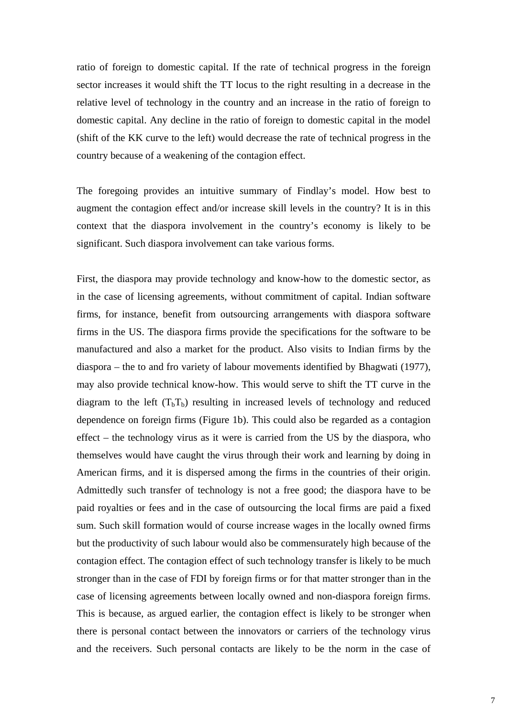ratio of foreign to domestic capital. If the rate of technical progress in the foreign sector increases it would shift the TT locus to the right resulting in a decrease in the relative level of technology in the country and an increase in the ratio of foreign to domestic capital. Any decline in the ratio of foreign to domestic capital in the model (shift of the KK curve to the left) would decrease the rate of technical progress in the country because of a weakening of the contagion effect.

The foregoing provides an intuitive summary of Findlay's model. How best to augment the contagion effect and/or increase skill levels in the country? It is in this context that the diaspora involvement in the country's economy is likely to be significant. Such diaspora involvement can take various forms.

First, the diaspora may provide technology and know-how to the domestic sector, as in the case of licensing agreements, without commitment of capital. Indian software firms, for instance, benefit from outsourcing arrangements with diaspora software firms in the US. The diaspora firms provide the specifications for the software to be manufactured and also a market for the product. Also visits to Indian firms by the diaspora – the to and fro variety of labour movements identified by Bhagwati (1977), may also provide technical know-how. This would serve to shift the TT curve in the diagram to the left  $(T_bT_b)$  resulting in increased levels of technology and reduced dependence on foreign firms (Figure 1b). This could also be regarded as a contagion effect – the technology virus as it were is carried from the US by the diaspora, who themselves would have caught the virus through their work and learning by doing in American firms, and it is dispersed among the firms in the countries of their origin. Admittedly such transfer of technology is not a free good; the diaspora have to be paid royalties or fees and in the case of outsourcing the local firms are paid a fixed sum. Such skill formation would of course increase wages in the locally owned firms but the productivity of such labour would also be commensurately high because of the contagion effect. The contagion effect of such technology transfer is likely to be much stronger than in the case of FDI by foreign firms or for that matter stronger than in the case of licensing agreements between locally owned and non-diaspora foreign firms. This is because, as argued earlier, the contagion effect is likely to be stronger when there is personal contact between the innovators or carriers of the technology virus and the receivers. Such personal contacts are likely to be the norm in the case of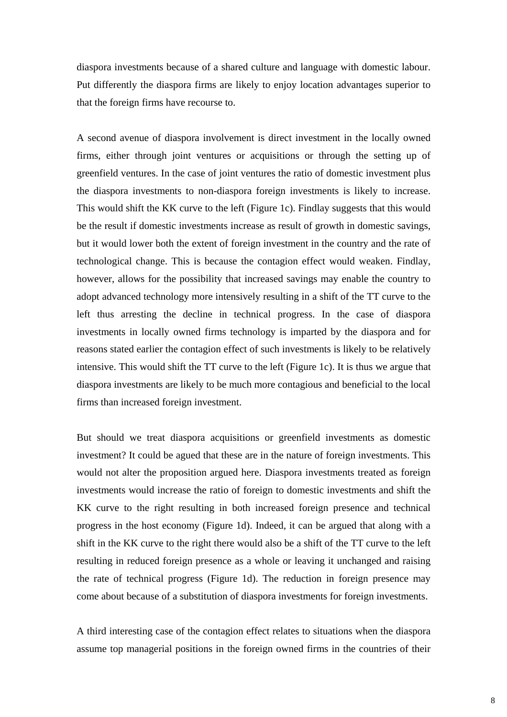diaspora investments because of a shared culture and language with domestic labour. Put differently the diaspora firms are likely to enjoy location advantages superior to that the foreign firms have recourse to.

A second avenue of diaspora involvement is direct investment in the locally owned firms, either through joint ventures or acquisitions or through the setting up of greenfield ventures. In the case of joint ventures the ratio of domestic investment plus the diaspora investments to non-diaspora foreign investments is likely to increase. This would shift the KK curve to the left (Figure 1c). Findlay suggests that this would be the result if domestic investments increase as result of growth in domestic savings, but it would lower both the extent of foreign investment in the country and the rate of technological change. This is because the contagion effect would weaken. Findlay, however, allows for the possibility that increased savings may enable the country to adopt advanced technology more intensively resulting in a shift of the TT curve to the left thus arresting the decline in technical progress. In the case of diaspora investments in locally owned firms technology is imparted by the diaspora and for reasons stated earlier the contagion effect of such investments is likely to be relatively intensive. This would shift the TT curve to the left (Figure 1c). It is thus we argue that diaspora investments are likely to be much more contagious and beneficial to the local firms than increased foreign investment.

But should we treat diaspora acquisitions or greenfield investments as domestic investment? It could be agued that these are in the nature of foreign investments. This would not alter the proposition argued here. Diaspora investments treated as foreign investments would increase the ratio of foreign to domestic investments and shift the KK curve to the right resulting in both increased foreign presence and technical progress in the host economy (Figure 1d). Indeed, it can be argued that along with a shift in the KK curve to the right there would also be a shift of the TT curve to the left resulting in reduced foreign presence as a whole or leaving it unchanged and raising the rate of technical progress (Figure 1d). The reduction in foreign presence may come about because of a substitution of diaspora investments for foreign investments.

A third interesting case of the contagion effect relates to situations when the diaspora assume top managerial positions in the foreign owned firms in the countries of their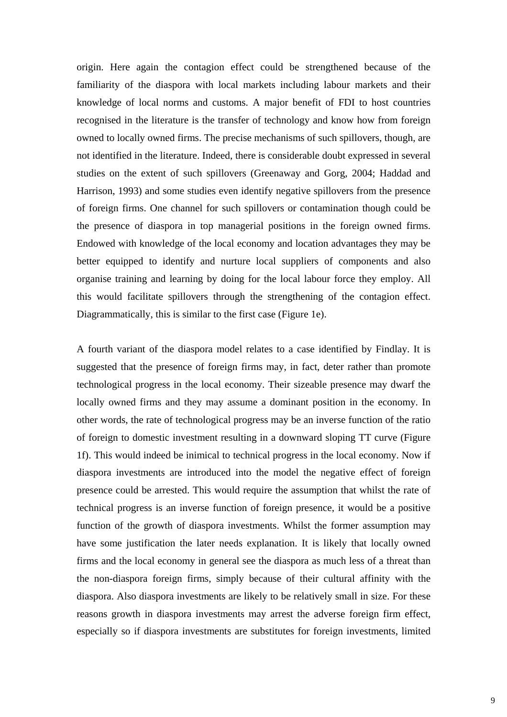origin. Here again the contagion effect could be strengthened because of the familiarity of the diaspora with local markets including labour markets and their knowledge of local norms and customs. A major benefit of FDI to host countries recognised in the literature is the transfer of technology and know how from foreign owned to locally owned firms. The precise mechanisms of such spillovers, though, are not identified in the literature. Indeed, there is considerable doubt expressed in several studies on the extent of such spillovers (Greenaway and Gorg, 2004; Haddad and Harrison, 1993) and some studies even identify negative spillovers from the presence of foreign firms. One channel for such spillovers or contamination though could be the presence of diaspora in top managerial positions in the foreign owned firms. Endowed with knowledge of the local economy and location advantages they may be better equipped to identify and nurture local suppliers of components and also organise training and learning by doing for the local labour force they employ. All this would facilitate spillovers through the strengthening of the contagion effect. Diagrammatically, this is similar to the first case (Figure 1e).

A fourth variant of the diaspora model relates to a case identified by Findlay. It is suggested that the presence of foreign firms may, in fact, deter rather than promote technological progress in the local economy. Their sizeable presence may dwarf the locally owned firms and they may assume a dominant position in the economy. In other words, the rate of technological progress may be an inverse function of the ratio of foreign to domestic investment resulting in a downward sloping TT curve (Figure 1f). This would indeed be inimical to technical progress in the local economy. Now if diaspora investments are introduced into the model the negative effect of foreign presence could be arrested. This would require the assumption that whilst the rate of technical progress is an inverse function of foreign presence, it would be a positive function of the growth of diaspora investments. Whilst the former assumption may have some justification the later needs explanation. It is likely that locally owned firms and the local economy in general see the diaspora as much less of a threat than the non-diaspora foreign firms, simply because of their cultural affinity with the diaspora. Also diaspora investments are likely to be relatively small in size. For these reasons growth in diaspora investments may arrest the adverse foreign firm effect, especially so if diaspora investments are substitutes for foreign investments, limited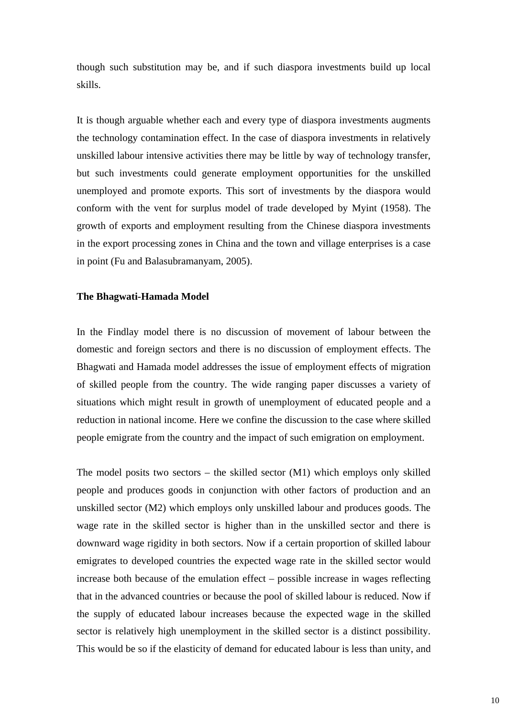though such substitution may be, and if such diaspora investments build up local skills.

It is though arguable whether each and every type of diaspora investments augments the technology contamination effect. In the case of diaspora investments in relatively unskilled labour intensive activities there may be little by way of technology transfer, but such investments could generate employment opportunities for the unskilled unemployed and promote exports. This sort of investments by the diaspora would conform with the vent for surplus model of trade developed by Myint (1958). The growth of exports and employment resulting from the Chinese diaspora investments in the export processing zones in China and the town and village enterprises is a case in point (Fu and Balasubramanyam, 2005).

## **The Bhagwati-Hamada Model**

In the Findlay model there is no discussion of movement of labour between the domestic and foreign sectors and there is no discussion of employment effects. The Bhagwati and Hamada model addresses the issue of employment effects of migration of skilled people from the country. The wide ranging paper discusses a variety of situations which might result in growth of unemployment of educated people and a reduction in national income. Here we confine the discussion to the case where skilled people emigrate from the country and the impact of such emigration on employment.

The model posits two sectors – the skilled sector  $(M1)$  which employs only skilled people and produces goods in conjunction with other factors of production and an unskilled sector (M2) which employs only unskilled labour and produces goods. The wage rate in the skilled sector is higher than in the unskilled sector and there is downward wage rigidity in both sectors. Now if a certain proportion of skilled labour emigrates to developed countries the expected wage rate in the skilled sector would increase both because of the emulation effect – possible increase in wages reflecting that in the advanced countries or because the pool of skilled labour is reduced. Now if the supply of educated labour increases because the expected wage in the skilled sector is relatively high unemployment in the skilled sector is a distinct possibility. This would be so if the elasticity of demand for educated labour is less than unity, and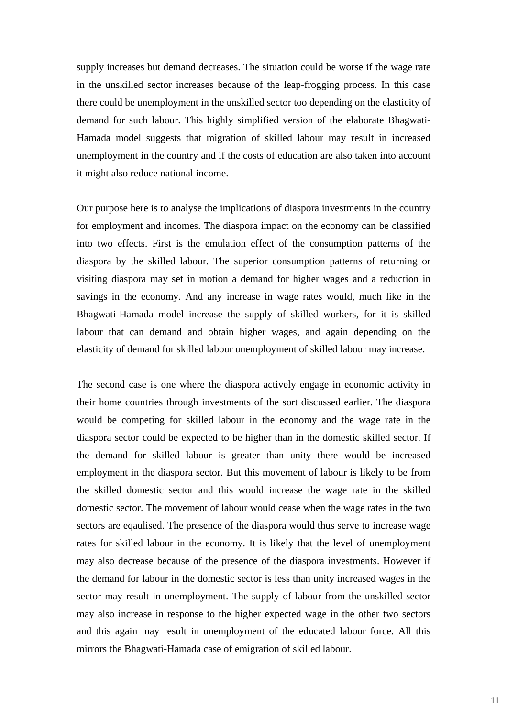supply increases but demand decreases. The situation could be worse if the wage rate in the unskilled sector increases because of the leap-frogging process. In this case there could be unemployment in the unskilled sector too depending on the elasticity of demand for such labour. This highly simplified version of the elaborate Bhagwati-Hamada model suggests that migration of skilled labour may result in increased unemployment in the country and if the costs of education are also taken into account it might also reduce national income.

Our purpose here is to analyse the implications of diaspora investments in the country for employment and incomes. The diaspora impact on the economy can be classified into two effects. First is the emulation effect of the consumption patterns of the diaspora by the skilled labour. The superior consumption patterns of returning or visiting diaspora may set in motion a demand for higher wages and a reduction in savings in the economy. And any increase in wage rates would, much like in the Bhagwati-Hamada model increase the supply of skilled workers, for it is skilled labour that can demand and obtain higher wages, and again depending on the elasticity of demand for skilled labour unemployment of skilled labour may increase.

The second case is one where the diaspora actively engage in economic activity in their home countries through investments of the sort discussed earlier. The diaspora would be competing for skilled labour in the economy and the wage rate in the diaspora sector could be expected to be higher than in the domestic skilled sector. If the demand for skilled labour is greater than unity there would be increased employment in the diaspora sector. But this movement of labour is likely to be from the skilled domestic sector and this would increase the wage rate in the skilled domestic sector. The movement of labour would cease when the wage rates in the two sectors are eqaulised. The presence of the diaspora would thus serve to increase wage rates for skilled labour in the economy. It is likely that the level of unemployment may also decrease because of the presence of the diaspora investments. However if the demand for labour in the domestic sector is less than unity increased wages in the sector may result in unemployment. The supply of labour from the unskilled sector may also increase in response to the higher expected wage in the other two sectors and this again may result in unemployment of the educated labour force. All this mirrors the Bhagwati-Hamada case of emigration of skilled labour.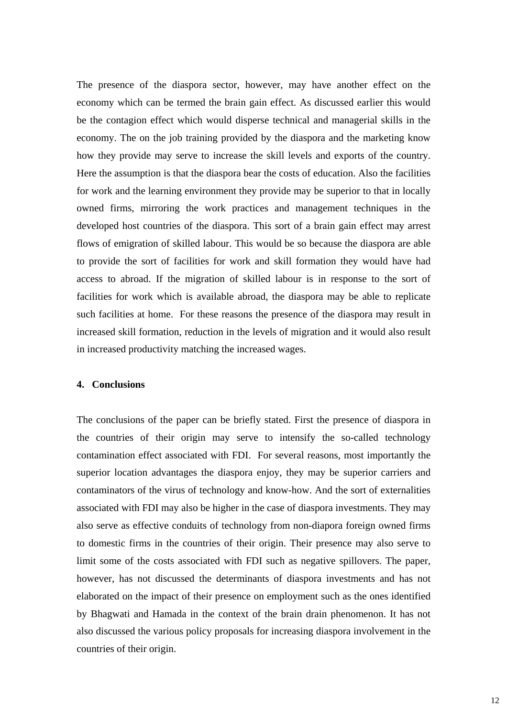The presence of the diaspora sector, however, may have another effect on the economy which can be termed the brain gain effect. As discussed earlier this would be the contagion effect which would disperse technical and managerial skills in the economy. The on the job training provided by the diaspora and the marketing know how they provide may serve to increase the skill levels and exports of the country. Here the assumption is that the diaspora bear the costs of education. Also the facilities for work and the learning environment they provide may be superior to that in locally owned firms, mirroring the work practices and management techniques in the developed host countries of the diaspora. This sort of a brain gain effect may arrest flows of emigration of skilled labour. This would be so because the diaspora are able to provide the sort of facilities for work and skill formation they would have had access to abroad. If the migration of skilled labour is in response to the sort of facilities for work which is available abroad, the diaspora may be able to replicate such facilities at home. For these reasons the presence of the diaspora may result in increased skill formation, reduction in the levels of migration and it would also result in increased productivity matching the increased wages.

## **4. Conclusions**

The conclusions of the paper can be briefly stated. First the presence of diaspora in the countries of their origin may serve to intensify the so-called technology contamination effect associated with FDI. For several reasons, most importantly the superior location advantages the diaspora enjoy, they may be superior carriers and contaminators of the virus of technology and know-how. And the sort of externalities associated with FDI may also be higher in the case of diaspora investments. They may also serve as effective conduits of technology from non-diapora foreign owned firms to domestic firms in the countries of their origin. Their presence may also serve to limit some of the costs associated with FDI such as negative spillovers. The paper, however, has not discussed the determinants of diaspora investments and has not elaborated on the impact of their presence on employment such as the ones identified by Bhagwati and Hamada in the context of the brain drain phenomenon. It has not also discussed the various policy proposals for increasing diaspora involvement in the countries of their origin.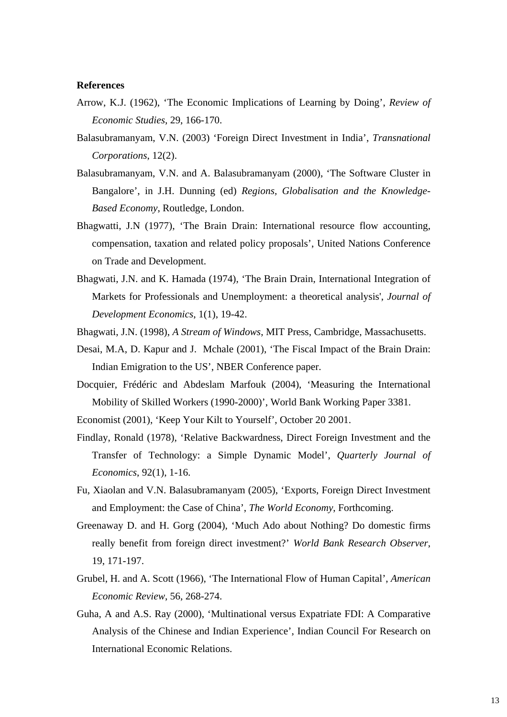#### **References**

- Arrow, K.J. (1962), 'The Economic Implications of Learning by Doing', *Review of Economic Studies*, 29, 166-170.
- Balasubramanyam, V.N. (2003) 'Foreign Direct Investment in India', *Transnational Corporations*, 12(2).
- Balasubramanyam, V.N. and A. Balasubramanyam (2000), 'The Software Cluster in Bangalore', in J.H. Dunning (ed) *Regions, Globalisation and the Knowledge-Based Economy*, Routledge, London.
- Bhagwatti, J.N (1977), 'The Brain Drain: International resource flow accounting, compensation, taxation and related policy proposals', United Nations Conference on Trade and Development.
- Bhagwati, J.N. and K. Hamada (1974), 'The Brain Drain, International Integration of Markets for Professionals and Unemployment: a theoretical analysis', *Journal of Development Economics*, 1(1), 19-42.
- Bhagwati, J.N. (1998), *A Stream of Windows*, MIT Press, Cambridge, Massachusetts.
- Desai, M.A, D. Kapur and J. Mchale (2001), 'The Fiscal Impact of the Brain Drain: Indian Emigration to the US', NBER Conference paper.
- Docquier, Frédéric and Abdeslam Marfouk (2004), 'Measuring the International Mobility of Skilled Workers (1990-2000)', World Bank Working Paper 3381.
- Economist (2001), 'Keep Your Kilt to Yourself', October 20 2001.
- Findlay, Ronald (1978), 'Relative Backwardness, Direct Foreign Investment and the Transfer of Technology: a Simple Dynamic Model', *Quarterly Journal of Economics*, 92(1), 1-16.
- Fu, Xiaolan and V.N. Balasubramanyam (2005), 'Exports, Foreign Direct Investment and Employment: the Case of China', *The World Economy*, Forthcoming.
- Greenaway D. and H. Gorg (2004), 'Much Ado about Nothing? Do domestic firms really benefit from foreign direct investment?' *World Bank Research Observer*, 19, 171-197.
- Grubel, H. and A. Scott (1966), 'The International Flow of Human Capital', *American Economic Review*, 56, 268-274.
- Guha, A and A.S. Ray (2000), 'Multinational versus Expatriate FDI: A Comparative Analysis of the Chinese and Indian Experience', Indian Council For Research on International Economic Relations.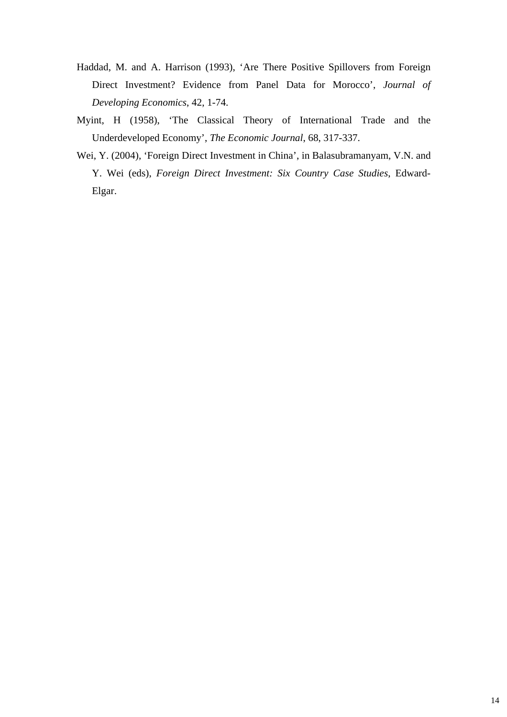- Haddad, M. and A. Harrison (1993), 'Are There Positive Spillovers from Foreign Direct Investment? Evidence from Panel Data for Morocco', *Journal of Developing Economics*, 42, 1-74.
- Myint, H (1958), 'The Classical Theory of International Trade and the Underdeveloped Economy', *The Economic Journal*, 68, 317-337.
- Wei, Y. (2004), 'Foreign Direct Investment in China', in Balasubramanyam, V.N. and Y. Wei (eds), *Foreign Direct Investment: Six Country Case Studies*, Edward-Elgar.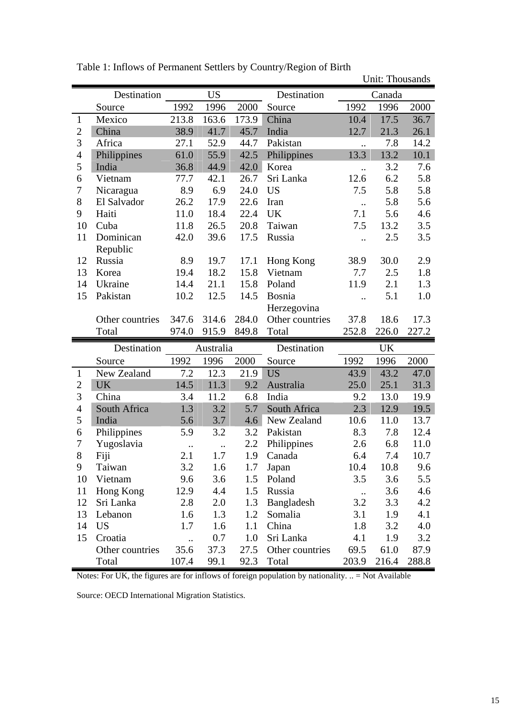|                                                      |                          |               |                      |              |                          | Unit: Thousands      |               |               |
|------------------------------------------------------|--------------------------|---------------|----------------------|--------------|--------------------------|----------------------|---------------|---------------|
|                                                      | Destination              |               | <b>US</b>            |              | Destination              | Canada               |               |               |
|                                                      | Source                   | 1992          | 1996                 | 2000         | Source                   | 1992                 | 1996          | 2000          |
| $\mathbf{1}$                                         | Mexico                   | 213.8         | 163.6                | 173.9        | China                    | 10.4                 | 17.5          | 36.7          |
| $\overline{2}$<br>3<br>$\overline{4}$<br>5<br>6<br>7 | China                    | 38.9          | 41.7                 | 45.7         | India                    | 12.7                 | 21.3          | 26.1          |
|                                                      | Africa                   | 27.1          | 52.9                 | 44.7         | Pakistan                 | $\ddot{\phantom{a}}$ | 7.8           | 14.2          |
|                                                      | Philippines              | 61.0          | 55.9                 | 42.5         | Philippines              | 13.3                 | 13.2          | 10.1          |
|                                                      | India                    | 36.8          | 44.9                 | 42.0         | Korea                    | $\ddot{\phantom{a}}$ | 3.2           | 7.6           |
|                                                      | Vietnam                  | 77.7          | 42.1                 | 26.7         | Sri Lanka                | 12.6                 | 6.2           | 5.8           |
|                                                      | Nicaragua                | 8.9           | 6.9                  | 24.0         | <b>US</b>                | 7.5                  | 5.8           | 5.8           |
| 8                                                    | El Salvador              | 26.2          | 17.9                 | 22.6         | Iran                     | $\ddot{\phantom{a}}$ | 5.8           | 5.6           |
| 9                                                    | Haiti                    | 11.0          | 18.4                 | 22.4         | <b>UK</b>                | 7.1                  | 5.6           | 4.6           |
| 10                                                   | Cuba                     | 11.8          | 26.5                 | 20.8         | Taiwan                   | 7.5                  | 13.2          | 3.5           |
| 11                                                   | Dominican                | 42.0          | 39.6                 | 17.5         | Russia                   |                      | 2.5           | 3.5           |
|                                                      | Republic                 |               |                      |              |                          |                      |               |               |
| 12                                                   | Russia                   | 8.9           | 19.7                 | 17.1         | Hong Kong                | 38.9                 | 30.0          | 2.9           |
| 13                                                   | Korea                    | 19.4          | 18.2                 | 15.8         | Vietnam                  | 7.7                  | 2.5           | 1.8           |
| 14                                                   | Ukraine                  | 14.4          | 21.1                 | 15.8         | Poland                   | 11.9                 | 2.1           | 1.3           |
| 15                                                   | Pakistan                 | 10.2          | 12.5                 | 14.5         | Bosnia                   |                      | 5.1           | 1.0           |
|                                                      |                          |               |                      |              | Herzegovina              |                      |               |               |
|                                                      | Other countries          | 347.6         | 314.6                | 284.0        | Other countries          | 37.8                 | 18.6          | 17.3          |
|                                                      | Total                    | 974.0         | 915.9                | 849.8        | Total                    | 252.8                | 226.0         | 227.2         |
|                                                      | Destination              | Australia     |                      | Destination  | UK                       |                      |               |               |
|                                                      | Source                   | 1992          | 1996                 | 2000         | Source                   | 1992                 | 1996          | 2000          |
| $\mathbf{1}$                                         | New Zealand              | 7.2           | 12.3                 | 21.9         | <b>US</b>                | 43.9                 | 43.2          | 47.0          |
| $\overline{2}$                                       | <b>UK</b>                | 14.5          | 11.3                 | 9.2          | Australia                | 25.0                 | 25.1          | 31.3          |
| 3                                                    | China                    | 3.4           | 11.2                 | 6.8          | India                    | 9.2                  |               | 19.9          |
| $\overline{\mathcal{A}}$                             | South Africa             |               |                      |              |                          |                      | 13.0          |               |
| 5                                                    |                          | 1.3           | 3.2                  | 5.7          | South Africa             | 2.3                  | 12.9          | 19.5          |
|                                                      | India                    | 5.6           | 3.7                  | 4.6          | New Zealand              | 10.6                 | 11.0          | 13.7          |
| 6                                                    | Philippines              | 5.9           | 3.2                  | 3.2          | Pakistan                 | 8.3                  | 7.8           | 12.4          |
| 7                                                    | Yugoslavia               | $\ddotsc$     | $\ddot{\phantom{a}}$ | 2.2          | Philippines              | 2.6                  | 6.8           | 11.0          |
| 8                                                    | Fiji                     | 2.1           | 1.7                  |              | 1.9 Canada               | 6.4                  | 7.4           | 10.7          |
| 9                                                    | Taiwan                   | 3.2           | 1.6                  | 1.7          | Japan                    | 10.4                 | 10.8          | 9.6           |
| 10                                                   | Vietnam                  | 9.6           | 3.6                  | 1.5          | Poland                   | 3.5                  | 3.6           | 5.5           |
| 11                                                   | Hong Kong                | 12.9          | 4.4                  | 1.5          | Russia                   | $\cdot$              | 3.6           | 4.6           |
| 12                                                   | Sri Lanka                | 2.8           | 2.0                  | 1.3          | Bangladesh               | 3.2                  | 3.3           | 4.2           |
| 13                                                   | Lebanon                  | 1.6           | 1.3                  | 1.2          | Somalia                  | 3.1                  | 1.9           | 4.1           |
| 14                                                   | <b>US</b>                | 1.7           | 1.6                  | 1.1          | China                    | 1.8                  | 3.2           | 4.0           |
| 15                                                   | Croatia                  | $\cdot$       | 0.7                  | 1.0          | Sri Lanka                | 4.1                  | 1.9           | 3.2           |
|                                                      | Other countries<br>Total | 35.6<br>107.4 | 37.3<br>99.1         | 27.5<br>92.3 | Other countries<br>Total | 69.5<br>203.9        | 61.0<br>216.4 | 87.9<br>288.8 |

Table 1: Inflows of Permanent Settlers by Country/Region of Birth

Notes: For UK, the figures are for inflows of foreign population by nationality. .. = Not Available

Source: OECD International Migration Statistics.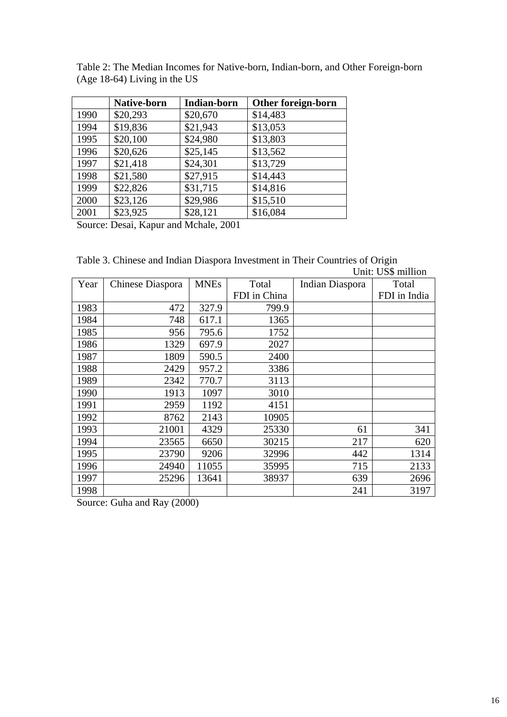|      | <b>Native-born</b> | <b>Indian-born</b> | Other foreign-born |
|------|--------------------|--------------------|--------------------|
| 1990 | \$20,293           | \$20,670           | \$14,483           |
| 1994 | \$19,836           | \$21,943           | \$13,053           |
| 1995 | \$20,100           | \$24,980           | \$13,803           |
| 1996 | \$20,626           | \$25,145           | \$13,562           |
| 1997 | \$21,418           | \$24,301           | \$13,729           |
| 1998 | \$21,580           | \$27,915           | \$14,443           |
| 1999 | \$22,826           | \$31,715           | \$14,816           |
| 2000 | \$23,126           | \$29,986           | \$15,510           |
| 2001 | \$23,925           | \$28,121           | \$16,084           |

Table 2: The Median Incomes for Native-born, Indian-born, and Other Foreign-born (Age 18-64) Living in the US

Source: Desai, Kapur and Mchale, 2001

Table 3. Chinese and Indian Diaspora Investment in Their Countries of Origin Unit: US\$ million

|      | они. Обф пшион   |             |              |                 |              |  |  |
|------|------------------|-------------|--------------|-----------------|--------------|--|--|
| Year | Chinese Diaspora | <b>MNEs</b> | Total        | Indian Diaspora | Total        |  |  |
|      |                  |             | FDI in China |                 | FDI in India |  |  |
| 1983 | 472              | 327.9       | 799.9        |                 |              |  |  |
| 1984 | 748              | 617.1       | 1365         |                 |              |  |  |
| 1985 | 956              | 795.6       | 1752         |                 |              |  |  |
| 1986 | 1329             | 697.9       | 2027         |                 |              |  |  |
| 1987 | 1809             | 590.5       | 2400         |                 |              |  |  |
| 1988 | 2429             | 957.2       | 3386         |                 |              |  |  |
| 1989 | 2342             | 770.7       | 3113         |                 |              |  |  |
| 1990 | 1913             | 1097        | 3010         |                 |              |  |  |
| 1991 | 2959             | 1192        | 4151         |                 |              |  |  |
| 1992 | 8762             | 2143        | 10905        |                 |              |  |  |
| 1993 | 21001            | 4329        | 25330        | 61              | 341          |  |  |
| 1994 | 23565            | 6650        | 30215        | 217             | 620          |  |  |
| 1995 | 23790            | 9206        | 32996        | 442             | 1314         |  |  |
| 1996 | 24940            | 11055       | 35995        | 715             | 2133         |  |  |
| 1997 | 25296            | 13641       | 38937        | 639             | 2696         |  |  |
| 1998 |                  |             |              | 241             | 3197         |  |  |

Source: Guha and Ray (2000)